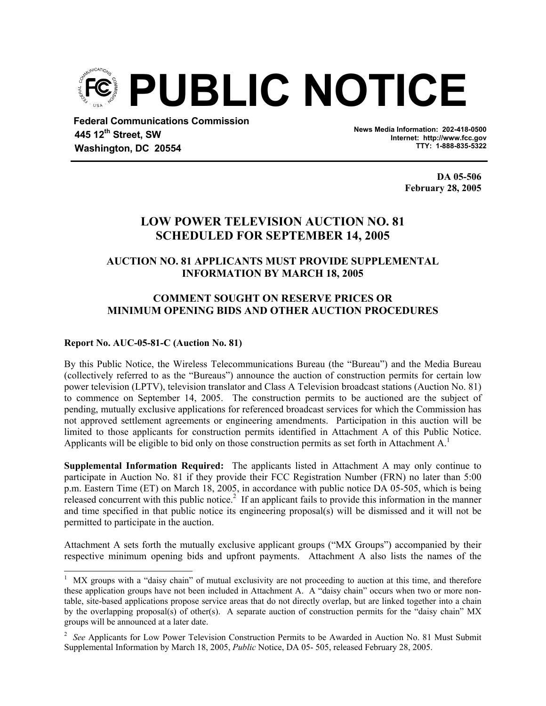

 **Federal Communications Commission 445 12th Street, SW Washington, DC 20554** 

**News Media Information: 202-418-0500 Internet: http://www.fcc.gov TTY: 1-888-835-5322**

> **DA 05-506 February 28, 2005**

# **LOW POWER TELEVISION AUCTION NO. 81 SCHEDULED FOR SEPTEMBER 14, 2005**

## **AUCTION NO. 81 APPLICANTS MUST PROVIDE SUPPLEMENTAL INFORMATION BY MARCH 18, 2005**

## **COMMENT SOUGHT ON RESERVE PRICES OR MINIMUM OPENING BIDS AND OTHER AUCTION PROCEDURES**

## **Report No. AUC-05-81-C (Auction No. 81)**

By this Public Notice, the Wireless Telecommunications Bureau (the "Bureau") and the Media Bureau (collectively referred to as the "Bureaus") announce the auction of construction permits for certain low power television (LPTV), television translator and Class A Television broadcast stations (Auction No. 81) to commence on September 14, 2005. The construction permits to be auctioned are the subject of pending, mutually exclusive applications for referenced broadcast services for which the Commission has not approved settlement agreements or engineering amendments. Participation in this auction will be limited to those applicants for construction permits identified in Attachment A of this Public Notice. Applicants will be eligible to bid only on those construction permits as set forth in Attachment  $A<sup>1</sup>$ 

**Supplemental Information Required:** The applicants listed in Attachment A may only continue to participate in Auction No. 81 if they provide their FCC Registration Number (FRN) no later than 5:00 p.m. Eastern Time (ET) on March 18, 2005, in accordance with public notice DA 05-505, which is being released concurrent with this public notice.<sup>2</sup> If an applicant fails to provide this information in the manner and time specified in that public notice its engineering proposal(s) will be dismissed and it will not be permitted to participate in the auction.

Attachment A sets forth the mutually exclusive applicant groups ("MX Groups") accompanied by their respective minimum opening bids and upfront payments. Attachment A also lists the names of the

<sup>&</sup>lt;sup>1</sup> MX groups with a "daisy chain" of mutual exclusivity are not proceeding to auction at this time, and therefore these application groups have not been included in Attachment A. A "daisy chain" occurs when two or more nontable, site-based applications propose service areas that do not directly overlap, but are linked together into a chain by the overlapping proposal(s) of other(s). A separate auction of construction permits for the "daisy chain" MX groups will be announced at a later date.

<sup>&</sup>lt;sup>2</sup> See Applicants for Low Power Television Construction Permits to be Awarded in Auction No. 81 Must Submit Supplemental Information by March 18, 2005, *Public* Notice, DA 05- 505, released February 28, 2005.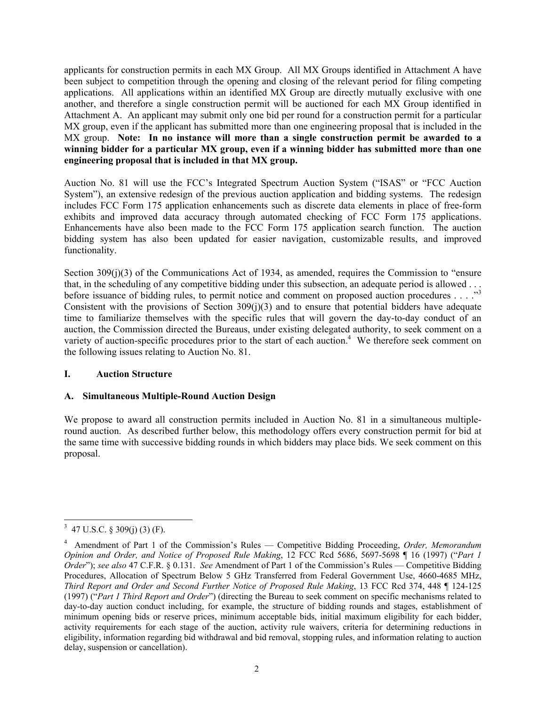applicants for construction permits in each MX Group. All MX Groups identified in Attachment A have been subject to competition through the opening and closing of the relevant period for filing competing applications. All applications within an identified MX Group are directly mutually exclusive with one another, and therefore a single construction permit will be auctioned for each MX Group identified in Attachment A. An applicant may submit only one bid per round for a construction permit for a particular MX group, even if the applicant has submitted more than one engineering proposal that is included in the MX group. **Note: In no instance will more than a single construction permit be awarded to a winning bidder for a particular MX group, even if a winning bidder has submitted more than one engineering proposal that is included in that MX group.** 

Auction No. 81 will use the FCC's Integrated Spectrum Auction System ("ISAS" or "FCC Auction System"), an extensive redesign of the previous auction application and bidding systems. The redesign includes FCC Form 175 application enhancements such as discrete data elements in place of free-form exhibits and improved data accuracy through automated checking of FCC Form 175 applications. Enhancements have also been made to the FCC Form 175 application search function. The auction bidding system has also been updated for easier navigation, customizable results, and improved functionality.

Section 309(j)(3) of the Communications Act of 1934, as amended, requires the Commission to "ensure" that, in the scheduling of any competitive bidding under this subsection, an adequate period is allowed . . . before issuance of bidding rules, to permit notice and comment on proposed auction procedures . . . ."<sup>3</sup> Consistent with the provisions of Section  $309(j)(3)$  and to ensure that potential bidders have adequate time to familiarize themselves with the specific rules that will govern the day-to-day conduct of an auction, the Commission directed the Bureaus, under existing delegated authority, to seek comment on a variety of auction-specific procedures prior to the start of each auction. $4$  We therefore seek comment on the following issues relating to Auction No. 81.

#### **I. Auction Structure**

#### **A. Simultaneous Multiple-Round Auction Design**

We propose to award all construction permits included in Auction No. 81 in a simultaneous multipleround auction. As described further below, this methodology offers every construction permit for bid at the same time with successive bidding rounds in which bidders may place bids. We seek comment on this proposal.

 $3\overline{47 \text{ U.S.C. } }$  \$ 309(j) (3) (F).

<sup>4</sup> Amendment of Part 1 of the Commission's Rules — Competitive Bidding Proceeding, *Order, Memorandum Opinion and Order, and Notice of Proposed Rule Making*, 12 FCC Rcd 5686, 5697-5698 ¶ 16 (1997) ("*Part 1 Order*"); *see also* 47 C.F.R. § 0.131. *See* Amendment of Part 1 of the Commission's Rules — Competitive Bidding Procedures, Allocation of Spectrum Below 5 GHz Transferred from Federal Government Use, 4660-4685 MHz, *Third Report and Order and Second Further Notice of Proposed Rule Making*, 13 FCC Rcd 374, 448 ¶ 124-125 (1997) ("*Part 1 Third Report and Order*") (directing the Bureau to seek comment on specific mechanisms related to day-to-day auction conduct including, for example, the structure of bidding rounds and stages, establishment of minimum opening bids or reserve prices, minimum acceptable bids, initial maximum eligibility for each bidder, activity requirements for each stage of the auction, activity rule waivers, criteria for determining reductions in eligibility, information regarding bid withdrawal and bid removal, stopping rules, and information relating to auction delay, suspension or cancellation).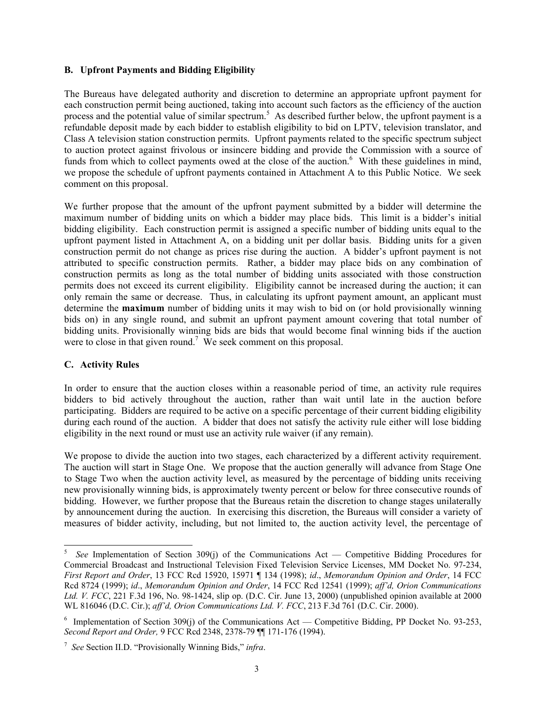#### **B. Upfront Payments and Bidding Eligibility**

The Bureaus have delegated authority and discretion to determine an appropriate upfront payment for each construction permit being auctioned, taking into account such factors as the efficiency of the auction process and the potential value of similar spectrum.<sup>5</sup> As described further below, the upfront payment is a refundable deposit made by each bidder to establish eligibility to bid on LPTV, television translator, and Class A television station construction permits. Upfront payments related to the specific spectrum subject to auction protect against frivolous or insincere bidding and provide the Commission with a source of funds from which to collect payments owed at the close of the auction.<sup>6</sup> With these guidelines in mind, we propose the schedule of upfront payments contained in Attachment A to this Public Notice. We seek comment on this proposal.

We further propose that the amount of the upfront payment submitted by a bidder will determine the maximum number of bidding units on which a bidder may place bids. This limit is a bidder's initial bidding eligibility. Each construction permit is assigned a specific number of bidding units equal to the upfront payment listed in Attachment A, on a bidding unit per dollar basis. Bidding units for a given construction permit do not change as prices rise during the auction. A bidder's upfront payment is not attributed to specific construction permits. Rather, a bidder may place bids on any combination of construction permits as long as the total number of bidding units associated with those construction permits does not exceed its current eligibility. Eligibility cannot be increased during the auction; it can only remain the same or decrease. Thus, in calculating its upfront payment amount, an applicant must determine the **maximum** number of bidding units it may wish to bid on (or hold provisionally winning bids on) in any single round, and submit an upfront payment amount covering that total number of bidding units. Provisionally winning bids are bids that would become final winning bids if the auction were to close in that given round.<sup>7</sup> We seek comment on this proposal.

#### **C. Activity Rules**

l

In order to ensure that the auction closes within a reasonable period of time, an activity rule requires bidders to bid actively throughout the auction, rather than wait until late in the auction before participating. Bidders are required to be active on a specific percentage of their current bidding eligibility during each round of the auction. A bidder that does not satisfy the activity rule either will lose bidding eligibility in the next round or must use an activity rule waiver (if any remain).

We propose to divide the auction into two stages, each characterized by a different activity requirement. The auction will start in Stage One. We propose that the auction generally will advance from Stage One to Stage Two when the auction activity level, as measured by the percentage of bidding units receiving new provisionally winning bids, is approximately twenty percent or below for three consecutive rounds of bidding. However, we further propose that the Bureaus retain the discretion to change stages unilaterally by announcement during the auction. In exercising this discretion, the Bureaus will consider a variety of measures of bidder activity, including, but not limited to, the auction activity level, the percentage of

<sup>5</sup>  *See* Implementation of Section 309(j) of the Communications Act — Competitive Bidding Procedures for Commercial Broadcast and Instructional Television Fixed Television Service Licenses, MM Docket No. 97-234, *First Report and Order*, 13 FCC Rcd 15920, 15971 ¶ 134 (1998); *id*., *Memorandum Opinion and Order*, 14 FCC Rcd 8724 (1999); *id*., *Memorandum Opinion and Order*, 14 FCC Rcd 12541 (1999); *aff'd, Orion Communications Ltd. V. FCC*, 221 F.3d 196, No. 98-1424, slip op. (D.C. Cir. June 13, 2000) (unpublished opinion available at 2000 WL 816046 (D.C. Cir.); *aff'd, Orion Communications Ltd. V. FCC*, 213 F.3d 761 (D.C. Cir. 2000).

<sup>&</sup>lt;sup>6</sup> Implementation of Section 309(j) of the Communications Act — Competitive Bidding, PP Docket No. 93-253, *Second Report and Order,* 9 FCC Rcd 2348, 2378-79 ¶¶ 171-176 (1994).

<sup>7</sup> *See* Section II.D. "Provisionally Winning Bids," *infra*.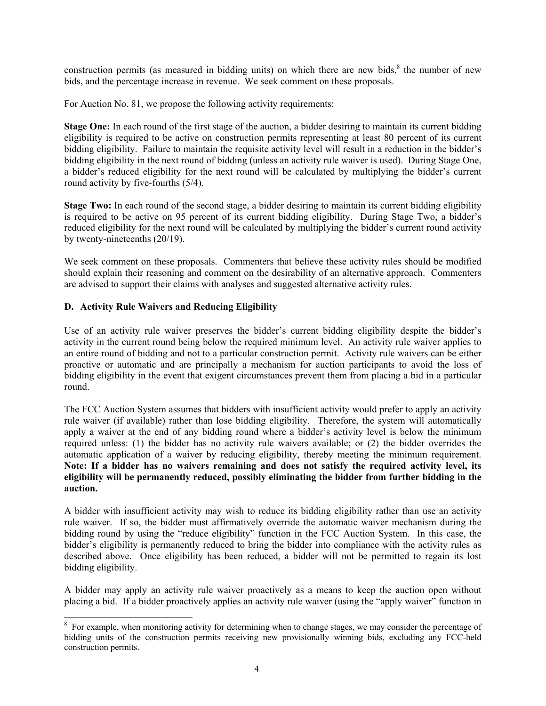construction permits (as measured in bidding units) on which there are new bids, $\delta$  the number of new bids, and the percentage increase in revenue. We seek comment on these proposals.

For Auction No. 81, we propose the following activity requirements:

**Stage One:** In each round of the first stage of the auction, a bidder desiring to maintain its current bidding eligibility is required to be active on construction permits representing at least 80 percent of its current bidding eligibility. Failure to maintain the requisite activity level will result in a reduction in the bidder's bidding eligibility in the next round of bidding (unless an activity rule waiver is used). During Stage One, a bidder's reduced eligibility for the next round will be calculated by multiplying the bidder's current round activity by five-fourths (5/4).

**Stage Two:** In each round of the second stage, a bidder desiring to maintain its current bidding eligibility is required to be active on 95 percent of its current bidding eligibility. During Stage Two, a bidder's reduced eligibility for the next round will be calculated by multiplying the bidder's current round activity by twenty-nineteenths (20/19).

We seek comment on these proposals. Commenters that believe these activity rules should be modified should explain their reasoning and comment on the desirability of an alternative approach. Commenters are advised to support their claims with analyses and suggested alternative activity rules.

## **D. Activity Rule Waivers and Reducing Eligibility**

Use of an activity rule waiver preserves the bidder's current bidding eligibility despite the bidder's activity in the current round being below the required minimum level. An activity rule waiver applies to an entire round of bidding and not to a particular construction permit. Activity rule waivers can be either proactive or automatic and are principally a mechanism for auction participants to avoid the loss of bidding eligibility in the event that exigent circumstances prevent them from placing a bid in a particular round.

The FCC Auction System assumes that bidders with insufficient activity would prefer to apply an activity rule waiver (if available) rather than lose bidding eligibility. Therefore, the system will automatically apply a waiver at the end of any bidding round where a bidder's activity level is below the minimum required unless: (1) the bidder has no activity rule waivers available; or (2) the bidder overrides the automatic application of a waiver by reducing eligibility, thereby meeting the minimum requirement. **Note: If a bidder has no waivers remaining and does not satisfy the required activity level, its eligibility will be permanently reduced, possibly eliminating the bidder from further bidding in the auction.** 

A bidder with insufficient activity may wish to reduce its bidding eligibility rather than use an activity rule waiver. If so, the bidder must affirmatively override the automatic waiver mechanism during the bidding round by using the "reduce eligibility" function in the FCC Auction System. In this case, the bidder's eligibility is permanently reduced to bring the bidder into compliance with the activity rules as described above. Once eligibility has been reduced, a bidder will not be permitted to regain its lost bidding eligibility.

A bidder may apply an activity rule waiver proactively as a means to keep the auction open without placing a bid. If a bidder proactively applies an activity rule waiver (using the "apply waiver" function in

<sup>&</sup>lt;sup>8</sup> For example, when monitoring activity for determining when to change stages, we may consider the percentage of bidding units of the construction permits receiving new provisionally winning bids, excluding any FCC-held construction permits.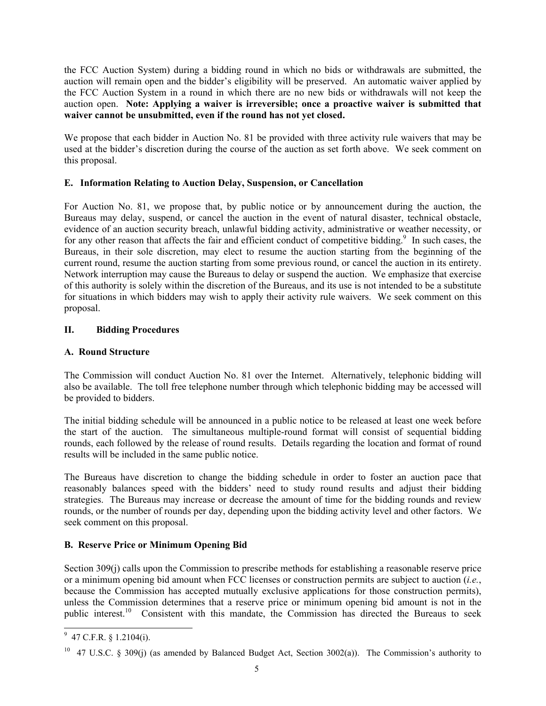the FCC Auction System) during a bidding round in which no bids or withdrawals are submitted, the auction will remain open and the bidder's eligibility will be preserved. An automatic waiver applied by the FCC Auction System in a round in which there are no new bids or withdrawals will not keep the auction open. **Note: Applying a waiver is irreversible; once a proactive waiver is submitted that waiver cannot be unsubmitted, even if the round has not yet closed.** 

We propose that each bidder in Auction No. 81 be provided with three activity rule waivers that may be used at the bidder's discretion during the course of the auction as set forth above. We seek comment on this proposal.

## **E. Information Relating to Auction Delay, Suspension, or Cancellation**

For Auction No. 81, we propose that, by public notice or by announcement during the auction, the Bureaus may delay, suspend, or cancel the auction in the event of natural disaster, technical obstacle, evidence of an auction security breach, unlawful bidding activity, administrative or weather necessity, or for any other reason that affects the fair and efficient conduct of competitive bidding.<sup>9</sup> In such cases, the Bureaus, in their sole discretion, may elect to resume the auction starting from the beginning of the current round, resume the auction starting from some previous round, or cancel the auction in its entirety. Network interruption may cause the Bureaus to delay or suspend the auction. We emphasize that exercise of this authority is solely within the discretion of the Bureaus, and its use is not intended to be a substitute for situations in which bidders may wish to apply their activity rule waivers. We seek comment on this proposal.

## **II. Bidding Procedures**

## **A. Round Structure**

The Commission will conduct Auction No. 81 over the Internet. Alternatively, telephonic bidding will also be available. The toll free telephone number through which telephonic bidding may be accessed will be provided to bidders.

The initial bidding schedule will be announced in a public notice to be released at least one week before the start of the auction. The simultaneous multiple-round format will consist of sequential bidding rounds, each followed by the release of round results. Details regarding the location and format of round results will be included in the same public notice.

The Bureaus have discretion to change the bidding schedule in order to foster an auction pace that reasonably balances speed with the bidders' need to study round results and adjust their bidding strategies. The Bureaus may increase or decrease the amount of time for the bidding rounds and review rounds, or the number of rounds per day, depending upon the bidding activity level and other factors. We seek comment on this proposal.

## **B. Reserve Price or Minimum Opening Bid**

Section 309(j) calls upon the Commission to prescribe methods for establishing a reasonable reserve price or a minimum opening bid amount when FCC licenses or construction permits are subject to auction (*i.e.*, because the Commission has accepted mutually exclusive applications for those construction permits), unless the Commission determines that a reserve price or minimum opening bid amount is not in the public interest.<sup>10</sup> Consistent with this mandate, the Commission has directed the Bureaus to seek

 $\overline{\phantom{a}}$ 

 $9\,$  47 C.F.R. § 1.2104(i).

<sup>&</sup>lt;sup>10</sup> 47 U.S.C. § 309(j) (as amended by Balanced Budget Act, Section 3002(a)). The Commission's authority to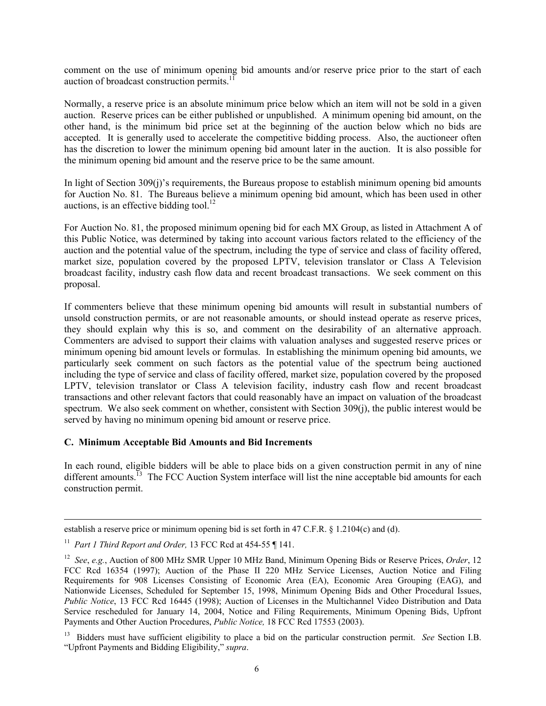comment on the use of minimum opening bid amounts and/or reserve price prior to the start of each auction of broadcast construction permits. $^{11}$ 

Normally, a reserve price is an absolute minimum price below which an item will not be sold in a given auction. Reserve prices can be either published or unpublished. A minimum opening bid amount, on the other hand, is the minimum bid price set at the beginning of the auction below which no bids are accepted. It is generally used to accelerate the competitive bidding process. Also, the auctioneer often has the discretion to lower the minimum opening bid amount later in the auction. It is also possible for the minimum opening bid amount and the reserve price to be the same amount.

In light of Section 309(j)'s requirements, the Bureaus propose to establish minimum opening bid amounts for Auction No. 81. The Bureaus believe a minimum opening bid amount, which has been used in other auctions, is an effective bidding tool.<sup>12</sup>

For Auction No. 81, the proposed minimum opening bid for each MX Group, as listed in Attachment A of this Public Notice, was determined by taking into account various factors related to the efficiency of the auction and the potential value of the spectrum, including the type of service and class of facility offered, market size, population covered by the proposed LPTV, television translator or Class A Television broadcast facility, industry cash flow data and recent broadcast transactions. We seek comment on this proposal.

If commenters believe that these minimum opening bid amounts will result in substantial numbers of unsold construction permits, or are not reasonable amounts, or should instead operate as reserve prices, they should explain why this is so, and comment on the desirability of an alternative approach. Commenters are advised to support their claims with valuation analyses and suggested reserve prices or minimum opening bid amount levels or formulas. In establishing the minimum opening bid amounts, we particularly seek comment on such factors as the potential value of the spectrum being auctioned including the type of service and class of facility offered, market size, population covered by the proposed LPTV, television translator or Class A television facility, industry cash flow and recent broadcast transactions and other relevant factors that could reasonably have an impact on valuation of the broadcast spectrum. We also seek comment on whether, consistent with Section 309(j), the public interest would be served by having no minimum opening bid amount or reserve price.

#### **C. Minimum Acceptable Bid Amounts and Bid Increments**

In each round, eligible bidders will be able to place bids on a given construction permit in any of nine different amounts.<sup> $13$ </sup> The FCC Auction System interface will list the nine acceptable bid amounts for each construction permit.

 $\overline{\phantom{a}}$ 

establish a reserve price or minimum opening bid is set forth in 47 C.F.R. § 1.2104(c) and (d).

<sup>11</sup> *Part 1 Third Report and Order,* 13 FCC Rcd at 454-55 ¶ 141.

<sup>12</sup> *See*, *e.g.*, Auction of 800 MHz SMR Upper 10 MHz Band, Minimum Opening Bids or Reserve Prices, *Order*, 12 FCC Rcd 16354 (1997); Auction of the Phase II 220 MHz Service Licenses, Auction Notice and Filing Requirements for 908 Licenses Consisting of Economic Area (EA), Economic Area Grouping (EAG), and Nationwide Licenses, Scheduled for September 15, 1998, Minimum Opening Bids and Other Procedural Issues, *Public Notice*, 13 FCC Rcd 16445 (1998); Auction of Licenses in the Multichannel Video Distribution and Data Service rescheduled for January 14, 2004, Notice and Filing Requirements, Minimum Opening Bids, Upfront Payments and Other Auction Procedures, *Public Notice,* 18 FCC Rcd 17553 (2003).

<sup>&</sup>lt;sup>13</sup> Bidders must have sufficient eligibility to place a bid on the particular construction permit. *See* Section I.B. "Upfront Payments and Bidding Eligibility," *supra*.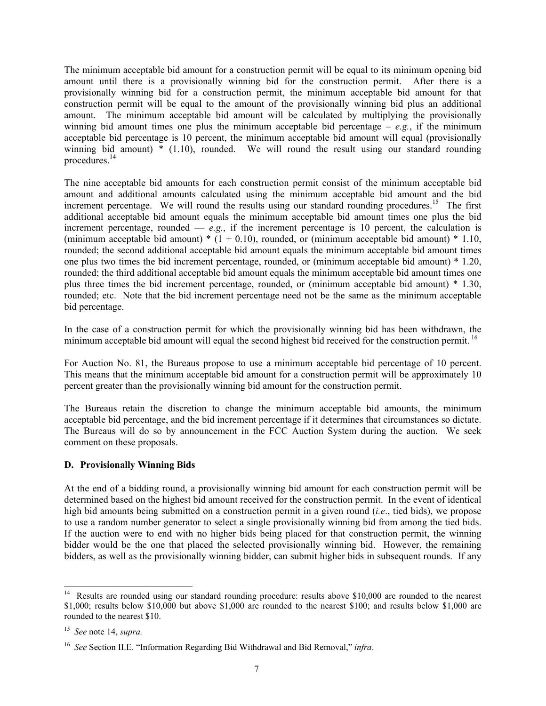The minimum acceptable bid amount for a construction permit will be equal to its minimum opening bid amount until there is a provisionally winning bid for the construction permit. After there is a provisionally winning bid for a construction permit, the minimum acceptable bid amount for that construction permit will be equal to the amount of the provisionally winning bid plus an additional amount. The minimum acceptable bid amount will be calculated by multiplying the provisionally winning bid amount times one plus the minimum acceptable bid percentage –  $e.g.,$  if the minimum acceptable bid percentage is 10 percent, the minimum acceptable bid amount will equal (provisionally winning bid amount)  $*$  (1.10), rounded. We will round the result using our standard rounding procedures.14

The nine acceptable bid amounts for each construction permit consist of the minimum acceptable bid amount and additional amounts calculated using the minimum acceptable bid amount and the bid increment percentage. We will round the results using our standard rounding procedures.<sup>15</sup> The first additional acceptable bid amount equals the minimum acceptable bid amount times one plus the bid increment percentage, rounded  $\overline{-e.g.}$ , if the increment percentage is 10 percent, the calculation is (minimum acceptable bid amount)  $*(1 + 0.10)$ , rounded, or (minimum acceptable bid amount)  $* 1.10$ , rounded; the second additional acceptable bid amount equals the minimum acceptable bid amount times one plus two times the bid increment percentage, rounded, or (minimum acceptable bid amount) \* 1.20, rounded; the third additional acceptable bid amount equals the minimum acceptable bid amount times one plus three times the bid increment percentage, rounded, or (minimum acceptable bid amount) \* 1.30, rounded; etc. Note that the bid increment percentage need not be the same as the minimum acceptable bid percentage.

In the case of a construction permit for which the provisionally winning bid has been withdrawn, the minimum acceptable bid amount will equal the second highest bid received for the construction permit.<sup>16</sup>

For Auction No. 81, the Bureaus propose to use a minimum acceptable bid percentage of 10 percent. This means that the minimum acceptable bid amount for a construction permit will be approximately 10 percent greater than the provisionally winning bid amount for the construction permit.

The Bureaus retain the discretion to change the minimum acceptable bid amounts, the minimum acceptable bid percentage, and the bid increment percentage if it determines that circumstances so dictate. The Bureaus will do so by announcement in the FCC Auction System during the auction. We seek comment on these proposals.

#### **D. Provisionally Winning Bids**

At the end of a bidding round, a provisionally winning bid amount for each construction permit will be determined based on the highest bid amount received for the construction permit. In the event of identical high bid amounts being submitted on a construction permit in a given round (*i.e*., tied bids), we propose to use a random number generator to select a single provisionally winning bid from among the tied bids. If the auction were to end with no higher bids being placed for that construction permit, the winning bidder would be the one that placed the selected provisionally winning bid. However, the remaining bidders, as well as the provisionally winning bidder, can submit higher bids in subsequent rounds. If any

 $\overline{\phantom{a}}$ 

<sup>&</sup>lt;sup>14</sup> Results are rounded using our standard rounding procedure: results above \$10,000 are rounded to the nearest \$1,000; results below \$10,000 but above \$1,000 are rounded to the nearest \$100; and results below \$1,000 are rounded to the nearest \$10.

<sup>15</sup> *See* note 14, *supra.*

<sup>16</sup> *See* Section II.E. "Information Regarding Bid Withdrawal and Bid Removal," *infra*.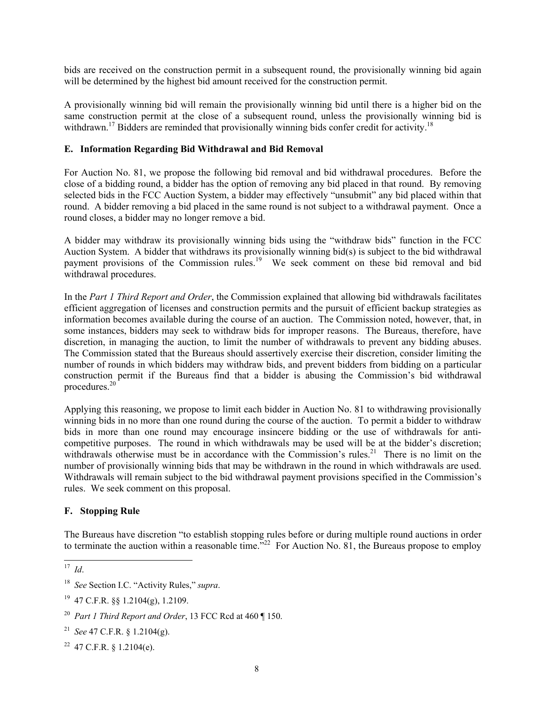bids are received on the construction permit in a subsequent round, the provisionally winning bid again will be determined by the highest bid amount received for the construction permit.

A provisionally winning bid will remain the provisionally winning bid until there is a higher bid on the same construction permit at the close of a subsequent round, unless the provisionally winning bid is withdrawn.<sup>17</sup> Bidders are reminded that provisionally winning bids confer credit for activity.<sup>18</sup>

## **E. Information Regarding Bid Withdrawal and Bid Removal**

For Auction No. 81, we propose the following bid removal and bid withdrawal procedures. Before the close of a bidding round, a bidder has the option of removing any bid placed in that round. By removing selected bids in the FCC Auction System, a bidder may effectively "unsubmit" any bid placed within that round. A bidder removing a bid placed in the same round is not subject to a withdrawal payment. Once a round closes, a bidder may no longer remove a bid.

A bidder may withdraw its provisionally winning bids using the "withdraw bids" function in the FCC Auction System. A bidder that withdraws its provisionally winning bid(s) is subject to the bid withdrawal payment provisions of the Commission rules.<sup>19</sup> We seek comment on these bid removal and bid withdrawal procedures.

In the *Part 1 Third Report and Order*, the Commission explained that allowing bid withdrawals facilitates efficient aggregation of licenses and construction permits and the pursuit of efficient backup strategies as information becomes available during the course of an auction. The Commission noted, however, that, in some instances, bidders may seek to withdraw bids for improper reasons. The Bureaus, therefore, have discretion, in managing the auction, to limit the number of withdrawals to prevent any bidding abuses. The Commission stated that the Bureaus should assertively exercise their discretion, consider limiting the number of rounds in which bidders may withdraw bids, and prevent bidders from bidding on a particular construction permit if the Bureaus find that a bidder is abusing the Commission's bid withdrawal procedures.<sup>20</sup>

Applying this reasoning, we propose to limit each bidder in Auction No. 81 to withdrawing provisionally winning bids in no more than one round during the course of the auction. To permit a bidder to withdraw bids in more than one round may encourage insincere bidding or the use of withdrawals for anticompetitive purposes. The round in which withdrawals may be used will be at the bidder's discretion; withdrawals otherwise must be in accordance with the Commission's rules.<sup>21</sup> There is no limit on the number of provisionally winning bids that may be withdrawn in the round in which withdrawals are used. Withdrawals will remain subject to the bid withdrawal payment provisions specified in the Commission's rules. We seek comment on this proposal.

## **F. Stopping Rule**

The Bureaus have discretion "to establish stopping rules before or during multiple round auctions in order to terminate the auction within a reasonable time.<sup> $12$ </sup> For Auction No. 81, the Bureaus propose to employ

l

<sup>17</sup> *Id*.

<sup>18</sup> *See* Section I.C. "Activity Rules," *supra*.

<sup>19</sup>47 C.F.R. §§ 1.2104(g), 1.2109.

<sup>20</sup> *Part 1 Third Report and Order*, 13 FCC Rcd at 460 ¶ 150.

<sup>21</sup> *See* 47 C.F.R. § 1.2104(g).

<sup>&</sup>lt;sup>22</sup> 47 C.F.R. § 1.2104(e).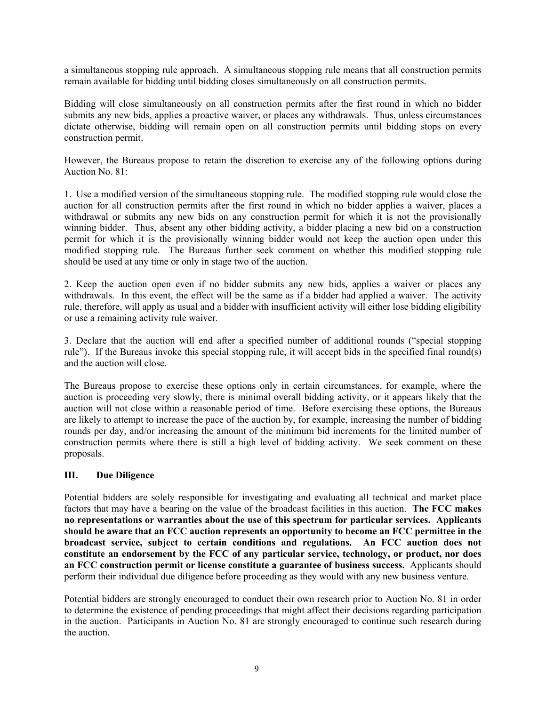a simultaneous stopping rule approach. A simultaneous stopping rule means that all construction permits remain available for bidding until bidding closes simultaneously on all construction permits.

Bidding will close simultaneously on all construction permits after the first round in which no bidder submits any new bids, applies a proactive waiver, or places any withdrawals. Thus, unless circumstances dictate otherwise, bidding will remain open on all construction permits until bidding stops on every construction permit.

However, the Bureaus propose to retain the discretion to exercise any of the following options during Auction No. 81:

1. Use a modified version of the simultaneous stopping rule. The modified stopping rule would close the auction for all construction permits after the first round in which no bidder applies a waiver, places a withdrawal or submits any new bids on any construction permit for which it is not the provisionally winning bidder. Thus, absent any other bidding activity, a bidder placing a new bid on a construction permit for which it is the provisionally winning bidder would not keep the auction open under this modified stopping rule. The Bureaus further seek comment on whether this modified stopping rule should be used at any time or only in stage two of the auction.

2. Keep the auction open even if no bidder submits any new bids, applies a waiver or places any withdrawals. In this event, the effect will be the same as if a bidder had applied a waiver. The activity rule, therefore, will apply as usual and a bidder with insufficient activity will either lose bidding eligibility or use a remaining activity rule waiver.

3. Declare that the auction will end after a specified number of additional rounds ("special stopping rule"). If the Bureaus invoke this special stopping rule, it will accept bids in the specified final round(s) and the auction will close.

The Bureaus propose to exercise these options only in certain circumstances, for example, where the auction is proceeding very slowly, there is minimal overall bidding activity, or it appears likely that the auction will not close within a reasonable period of time. Before exercising these options, the Bureaus are likely to attempt to increase the pace of the auction by, for example, increasing the number of bidding rounds per day, and/or increasing the amount of the minimum bid increments for the limited number of construction permits where there is still a high level of bidding activity. We seek comment on these proposals.

## **III. Due Diligence**

Potential bidders are solely responsible for investigating and evaluating all technical and market place factors that may have a bearing on the value of the broadcast facilities in this auction. **The FCC makes no representations or warranties about the use of this spectrum for particular services. Applicants should be aware that an FCC auction represents an opportunity to become an FCC permittee in the broadcast service, subject to certain conditions and regulations. An FCC auction does not constitute an endorsement by the FCC of any particular service, technology, or product, nor does an FCC construction permit or license constitute a guarantee of business success.** Applicants should perform their individual due diligence before proceeding as they would with any new business venture.

Potential bidders are strongly encouraged to conduct their own research prior to Auction No. 81 in order to determine the existence of pending proceedings that might affect their decisions regarding participation in the auction. Participants in Auction No. 81 are strongly encouraged to continue such research during the auction.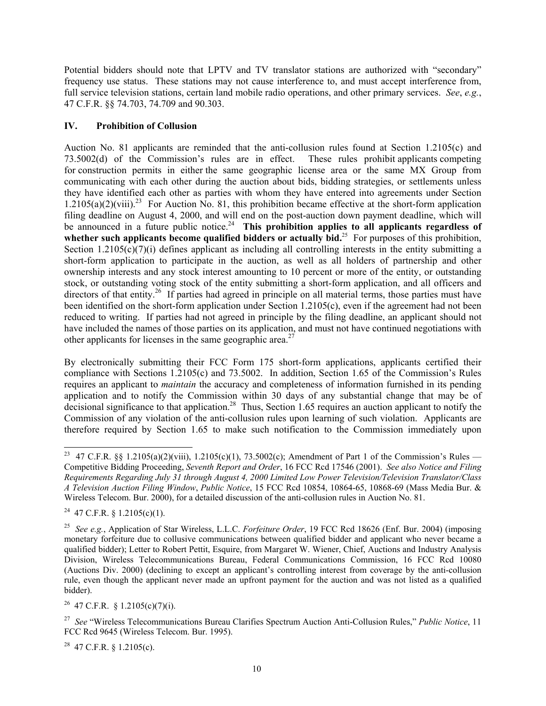Potential bidders should note that LPTV and TV translator stations are authorized with "secondary" frequency use status. These stations may not cause interference to, and must accept interference from, full service television stations, certain land mobile radio operations, and other primary services. *See*, *e.g.*, 47 C.F.R. §§ 74.703, 74.709 and 90.303.

## **IV. Prohibition of Collusion**

Auction No. 81 applicants are reminded that the anti-collusion rules found at Section 1.2105(c) and 73.5002(d) of the Commission's rules are in effect. These rules prohibit applicants competing for construction permits in either the same geographic license area or the same MX Group from communicating with each other during the auction about bids, bidding strategies, or settlements unless they have identified each other as parties with whom they have entered into agreements under Section  $1.2105(a)(2)(viii).^{23}$  For Auction No. 81, this prohibition became effective at the short-form application filing deadline on August 4, 2000, and will end on the post-auction down payment deadline, which will be announced in a future public notice.<sup>24</sup> This prohibition applies to all applicants regardless of whether such applicants become qualified bidders or actually bid.<sup>25</sup> For purposes of this prohibition, Section 1.2105( $c$ )(7)(i) defines applicant as including all controlling interests in the entity submitting a short-form application to participate in the auction, as well as all holders of partnership and other ownership interests and any stock interest amounting to 10 percent or more of the entity, or outstanding stock, or outstanding voting stock of the entity submitting a short-form application, and all officers and directors of that entity.<sup>26</sup> If parties had agreed in principle on all material terms, those parties must have been identified on the short-form application under Section 1.2105(c), even if the agreement had not been reduced to writing. If parties had not agreed in principle by the filing deadline, an applicant should not have included the names of those parties on its application, and must not have continued negotiations with other applicants for licenses in the same geographic area.<sup>27</sup>

By electronically submitting their FCC Form 175 short-form applications, applicants certified their compliance with Sections 1.2105(c) and 73.5002. In addition, Section 1.65 of the Commission's Rules requires an applicant to *maintain* the accuracy and completeness of information furnished in its pending application and to notify the Commission within 30 days of any substantial change that may be of decisional significance to that application.<sup>28</sup> Thus, Section 1.65 requires an auction applicant to notify the Commission of any violation of the anti-collusion rules upon learning of such violation. Applicants are therefore required by Section 1.65 to make such notification to the Commission immediately upon

 $\overline{\phantom{a}}$ 

 $28$  47 C.F.R. § 1.2105(c).

<sup>&</sup>lt;sup>23</sup> 47 C.F.R. §§ 1.2105(a)(2)(viii), 1.2105(c)(1), 73.5002(c); Amendment of Part 1 of the Commission's Rules — Competitive Bidding Proceeding, *Seventh Report and Order*, 16 FCC Rcd 17546 (2001). *See also Notice and Filing Requirements Regarding July 31 through August 4, 2000 Limited Low Power Television/Television Translator/Class A Television Auction Filing Window*, *Public Notice*, 15 FCC Rcd 10854, 10864-65, 10868-69 (Mass Media Bur. & Wireless Telecom. Bur. 2000), for a detailed discussion of the anti-collusion rules in Auction No. 81.

<sup>&</sup>lt;sup>24</sup> 47 C.F.R. § 1.2105(c)(1).

<sup>25</sup> *See e.g.*, Application of Star Wireless, L.L.C. *Forfeiture Order*, 19 FCC Rcd 18626 (Enf. Bur. 2004) (imposing monetary forfeiture due to collusive communications between qualified bidder and applicant who never became a qualified bidder); Letter to Robert Pettit, Esquire, from Margaret W. Wiener, Chief, Auctions and Industry Analysis Division, Wireless Telecommunications Bureau, Federal Communications Commission, 16 FCC Rcd 10080 (Auctions Div. 2000) (declining to except an applicant's controlling interest from coverage by the anti-collusion rule, even though the applicant never made an upfront payment for the auction and was not listed as a qualified bidder).

<sup>&</sup>lt;sup>26</sup> 47 C.F.R. § 1.2105(c)(7)(i).

<sup>27</sup> *See* "Wireless Telecommunications Bureau Clarifies Spectrum Auction Anti-Collusion Rules," *Public Notice*, 11 FCC Rcd 9645 (Wireless Telecom. Bur. 1995).